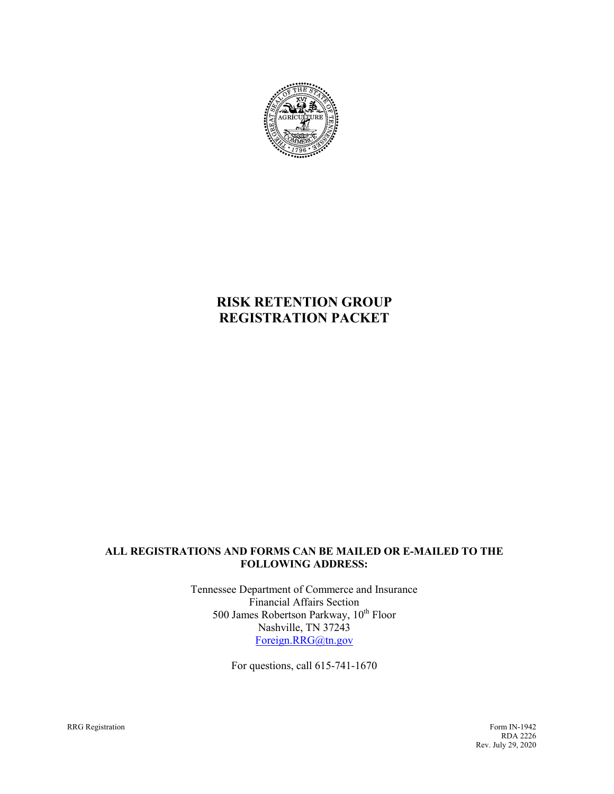

# **RISK RETENTION GROUP REGISTRATION PACKET**

### **ALL REGISTRATIONS AND FORMS CAN BE MAILED OR E-MAILED TO THE FOLLOWING ADDRESS:**

Tennessee Department of Commerce and Insurance Financial Affairs Section 500 James Robertson Parkway,  $10^{th}$  Floor Nashville, TN 37243 Foreign.RRG@tn.gov

For questions, call 615-741-1670

RRG Registration Form IN-1942<br>RDA 2226 RDA 2226 Rev. July 29, 2020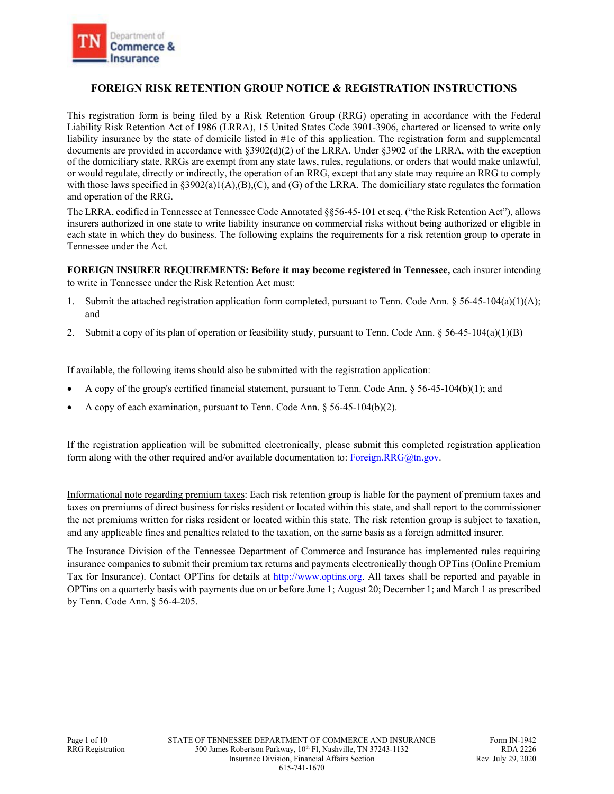

### **FOREIGN RISK RETENTION GROUP NOTICE & REGISTRATION INSTRUCTIONS**

This registration form is being filed by a Risk Retention Group (RRG) operating in accordance with the Federal Liability Risk Retention Act of 1986 (LRRA), 15 United States Code 3901-3906, chartered or licensed to write only liability insurance by the state of domicile listed in #1e of this application. The registration form and supplemental documents are provided in accordance with §3902(d)(2) of the LRRA. Under §3902 of the LRRA, with the exception of the domiciliary state, RRGs are exempt from any state laws, rules, regulations, or orders that would make unlawful, or would regulate, directly or indirectly, the operation of an RRG, except that any state may require an RRG to comply with those laws specified in  $\S 3902(a)1(A),(B),(C)$ , and (G) of the LRRA. The domiciliary state regulates the formation and operation of the RRG.

The LRRA, codified in Tennessee at Tennessee Code Annotated §§56-45-101 et seq. ("the Risk Retention Act"), allows insurers authorized in one state to write liability insurance on commercial risks without being authorized or eligible in each state in which they do business. The following explains the requirements for a risk retention group to operate in Tennessee under the Act.

**FOREIGN INSURER REQUIREMENTS: Before it may become registered in Tennessee,** each insurer intending to write in Tennessee under the Risk Retention Act must:

- 1. Submit the attached registration application form completed, pursuant to Tenn. Code Ann.  $\S 56-45-104(a)(1)(A);$ and
- 2. Submit a copy of its plan of operation or feasibility study, pursuant to Tenn. Code Ann. § 56-45-104(a)(1)(B)

If available, the following items should also be submitted with the registration application:

- A copy of the group's certified financial statement, pursuant to Tenn. Code Ann. § 56-45-104(b)(1); and
- A copy of each examination, pursuant to Tenn. Code Ann. § 56-45-104(b)(2).

If the registration application will be submitted electronically, please submit this completed registration application form along with the other required and/or available documentation to: Foreign.RRG $@$ tn.gov.

Informational note regarding premium taxes: Each risk retention group is liable for the payment of premium taxes and taxes on premiums of direct business for risks resident or located within this state, and shall report to the commissioner the net premiums written for risks resident or located within this state. The risk retention group is subject to taxation, and any applicable fines and penalties related to the taxation, on the same basis as a foreign admitted insurer.

The Insurance Division of the Tennessee Department of Commerce and Insurance has implemented rules requiring insurance companies to submit their premium tax returns and payments electronically though OPTins (Online Premium Tax for Insurance). Contact OPTins for details at http://www.optins.org. All taxes shall be reported and payable in OPTins on a quarterly basis with payments due on or before June 1; August 20; December 1; and March 1 as prescribed by Tenn. Code Ann. § 56-4-205.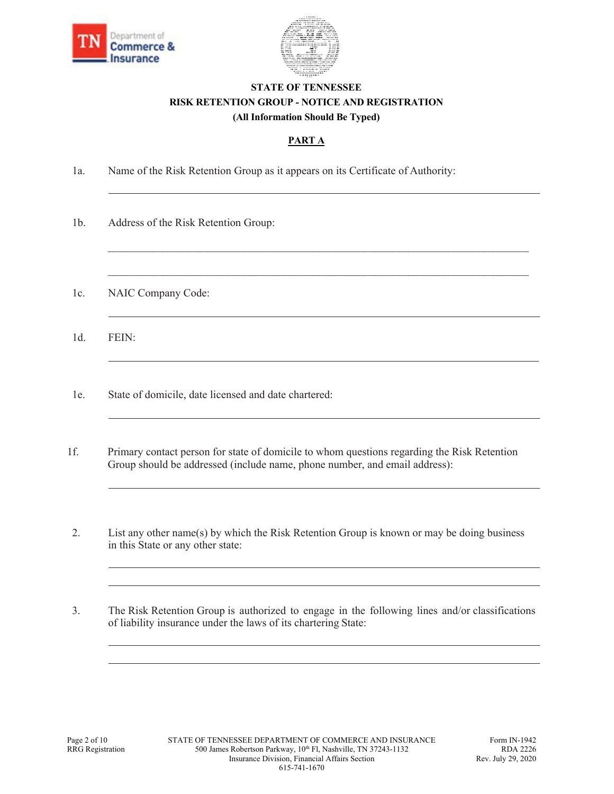



### **STATE OF TENNESSEE RISK RETENTION GROUP - NOTICE AND REGISTRATION (All Information Should Be Typed)**

# **PART A**

 $\mathcal{L}_\mathcal{L} = \{ \mathcal{L}_\mathcal{L} = \{ \mathcal{L}_\mathcal{L} = \{ \mathcal{L}_\mathcal{L} = \{ \mathcal{L}_\mathcal{L} = \{ \mathcal{L}_\mathcal{L} = \{ \mathcal{L}_\mathcal{L} = \{ \mathcal{L}_\mathcal{L} = \{ \mathcal{L}_\mathcal{L} = \{ \mathcal{L}_\mathcal{L} = \{ \mathcal{L}_\mathcal{L} = \{ \mathcal{L}_\mathcal{L} = \{ \mathcal{L}_\mathcal{L} = \{ \mathcal{L}_\mathcal{L} = \{ \mathcal{L}_\mathcal{$ 

- 1a. Name of the Risk Retention Group as it appears on its Certificate of Authority:
- 1b. Address of the Risk Retention Group:
- 1c. NAIC Company Code:
- 1d. FEIN:
- 1e. State of domicile, date licensed and date chartered:
- 1f. Primary contact person for state of domicile to whom questions regarding the Risk Retention Group should be addressed (include name, phone number, and email address):
- 2. List any other name(s) by which the Risk Retention Group is known or may be doing business in this State or any other state:
- 3. The Risk Retention Group is authorized to engage in the following lines and/or classifications of liability insurance under the laws of its chartering State: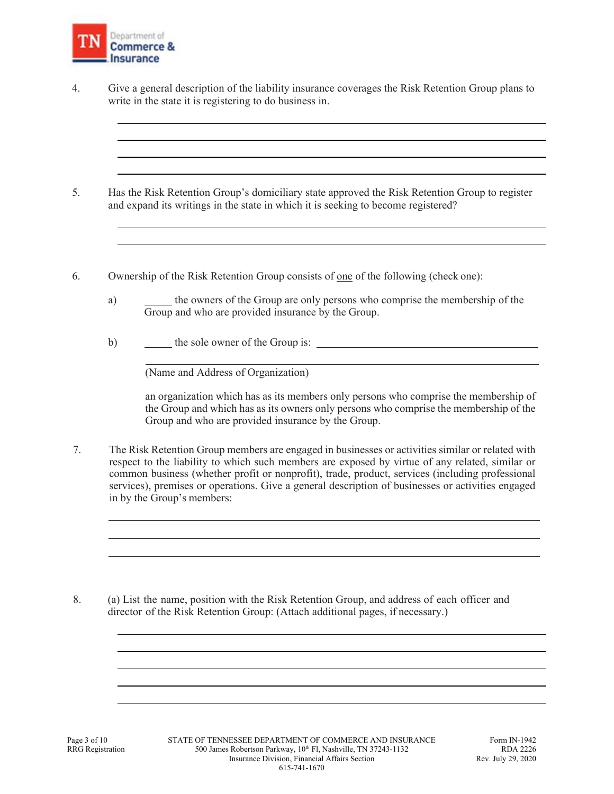

- 4. Give a general description of the liability insurance coverages the Risk Retention Group plans to write in the state it is registering to do business in.
- 5. Has the Risk Retention Group's domiciliary state approved the Risk Retention Group to register and expand its writings in the state in which it is seeking to become registered?
- 6. Ownership of the Risk Retention Group consists of <u>one</u> of the following (check one):
	- a) the owners of the Group are only persons who comprise the membership of the Group and who are provided insurance by the Group.
	- b) the sole owner of the Group is:

(Name and Address of Organization)

an organization which has as its members only persons who comprise the membership of the Group and which has as its owners only persons who comprise the membership of the Group and who are provided insurance by the Group.

7. The Risk Retention Group members are engaged in businesses or activities similar or related with respect to the liability to which such members are exposed by virtue of any related, similar or common business (whether profit or nonprofit), trade, product, services (including professional services), premises or operations. Give a general description of businesses or activities engaged in by the Group's members:

8. (a) List the name, position with the Risk Retention Group, and address of each officer and director of the Risk Retention Group: (Attach additional pages, if necessary.)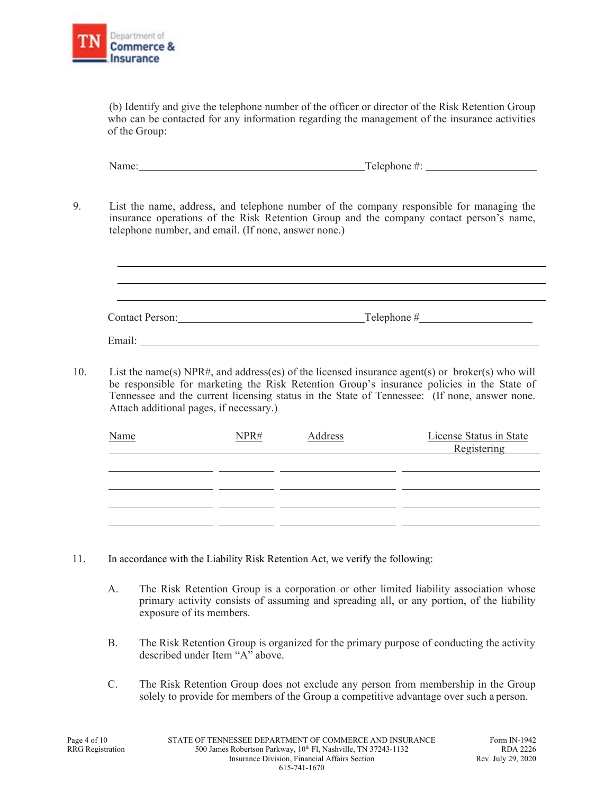

(b) Identify and give the telephone number of the officer or director of the Risk Retention Group who can be contacted for any information regarding the management of the insurance activities of the Group:

Name: Telephone #:

9. List the name, address, and telephone number of the company responsible for managing the insurance operations of the Risk Retention Group and the company contact person's name, telephone number, and email. (If none, answer none.)

Contact Person: Telephone # Email:

10. List the name(s) NPR#, and address(es) of the licensed insurance agent(s) or broker(s) who will be responsible for marketing the Risk Retention Group's insurance policies in the State of Tennessee and the current licensing status in the State of Tennessee: (If none, answer none. Attach additional pages, if necessary.)

| Name | NPR# | Address | License Status in State<br>Registering |
|------|------|---------|----------------------------------------|
|      |      |         |                                        |
|      |      |         |                                        |
|      |      |         |                                        |
|      |      |         |                                        |

- 11. In accordance with the Liability Risk Retention Act, we verify the following:
	- A. The Risk Retention Group is a corporation or other limited liability association whose primary activity consists of assuming and spreading all, or any portion, of the liability exposure of its members.
	- B. The Risk Retention Group is organized for the primary purpose of conducting the activity described under Item "A" above.
	- C. The Risk Retention Group does not exclude any person from membership in the Group solely to provide for members of the Group a competitive advantage over such a person.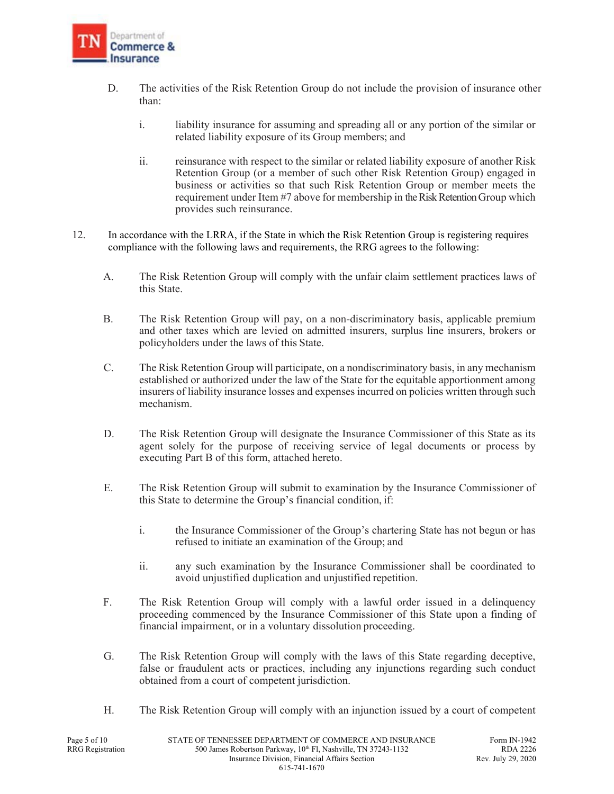

- D. The activities of the Risk Retention Group do not include the provision of insurance other than:
	- i. liability insurance for assuming and spreading all or any portion of the similar or related liability exposure of its Group members; and
	- ii. reinsurance with respect to the similar or related liability exposure of another Risk Retention Group (or a member of such other Risk Retention Group) engaged in business or activities so that such Risk Retention Group or member meets the requirement under Item #7 above for membership in the Risk Retention Group which provides such reinsurance.
- 12. In accordance with the LRRA, if the State in which the Risk Retention Group is registering requires compliance with the following laws and requirements, the RRG agrees to the following:
	- A. The Risk Retention Group will comply with the unfair claim settlement practices laws of this State.
	- B. The Risk Retention Group will pay, on a non-discriminatory basis, applicable premium and other taxes which are levied on admitted insurers, surplus line insurers, brokers or policyholders under the laws of this State.
	- C. The Risk Retention Group will participate, on a nondiscriminatory basis, in any mechanism established or authorized under the law of the State for the equitable apportionment among insurers of liability insurance losses and expenses incurred on policies written through such mechanism.
	- D. The Risk Retention Group will designate the Insurance Commissioner of this State as its agent solely for the purpose of receiving service of legal documents or process by executing Part B of this form, attached hereto.
	- E. The Risk Retention Group will submit to examination by the Insurance Commissioner of this State to determine the Group's financial condition, if:
		- i. the Insurance Commissioner of the Group's chartering State has not begun or has refused to initiate an examination of the Group; and
		- ii. any such examination by the Insurance Commissioner shall be coordinated to avoid unjustified duplication and unjustified repetition.
	- F. The Risk Retention Group will comply with a lawful order issued in a delinquency proceeding commenced by the Insurance Commissioner of this State upon a finding of financial impairment, or in a voluntary dissolution proceeding.
	- G. The Risk Retention Group will comply with the laws of this State regarding deceptive, false or fraudulent acts or practices, including any injunctions regarding such conduct obtained from a court of competent jurisdiction.
	- H. The Risk Retention Group will comply with an injunction issued by a court of competent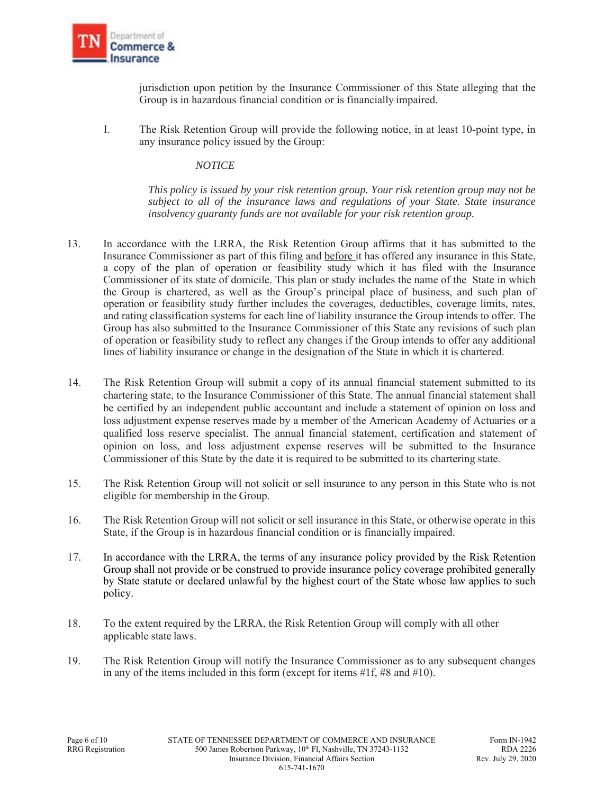

jurisdiction upon petition by the Insurance Commissioner of this State alleging that the Group is in hazardous financial condition or is financially impaired.

I. The Risk Retention Group will provide the following notice, in at least 10-point type, in any insurance policy issued by the Group:

#### *NOTICE*

*This policy is issued by your risk retention group. Your risk retention group may not be subject to all of the insurance laws and regulations of your State. State insurance insolvency guaranty funds are not available for your risk retention group.* 

- 13. In accordance with the LRRA, the Risk Retention Group affirms that it has submitted to the Insurance Commissioner as part of this filing and before it has offered any insurance in this State, a copy of the plan of operation or feasibility study which it has filed with the Insurance Commissioner of its state of domicile. This plan or study includes the name of the State in which the Group is chartered, as well as the Group's principal place of business, and such plan of operation or feasibility study further includes the coverages, deductibles, coverage limits, rates, and rating classification systems for each line of liability insurance the Group intends to offer. The Group has also submitted to the Insurance Commissioner of this State any revisions of such plan of operation or feasibility study to reflect any changes if the Group intends to offer any additional lines of liability insurance or change in the designation of the State in which it is chartered.
- 14. The Risk Retention Group will submit a copy of its annual financial statement submitted to its chartering state, to the Insurance Commissioner of this State. The annual financial statement shall be certified by an independent public accountant and include a statement of opinion on loss and loss adjustment expense reserves made by a member of the American Academy of Actuaries or a qualified loss reserve specialist. The annual financial statement, certification and statement of opinion on loss, and loss adjustment expense reserves will be submitted to the Insurance Commissioner of this State by the date it is required to be submitted to its chartering state.
- 15. The Risk Retention Group will not solicit or sell insurance to any person in this State who is not eligible for membership in the Group.
- 16. The Risk Retention Group will not solicit or sell insurance in this State, or otherwise operate in this State, if the Group is in hazardous financial condition or is financially impaired.
- 17. In accordance with the LRRA, the terms of any insurance policy provided by the Risk Retention Group shall not provide or be construed to provide insurance policy coverage prohibited generally by State statute or declared unlawful by the highest court of the State whose law applies to such policy.
- 18. To the extent required by the LRRA, the Risk Retention Group will comply with all other applicable state laws.
- 19. The Risk Retention Group will notify the Insurance Commissioner as to any subsequent changes in any of the items included in this form (except for items #1f, #8 and #10).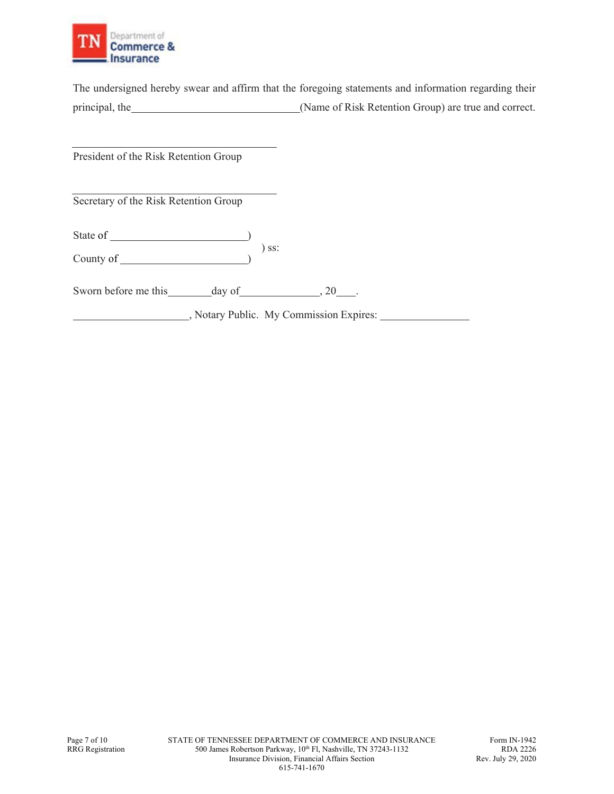

The undersigned hereby swear and affirm that the foregoing statements and information regarding their principal, the (Name of Risk Retention Group) are true and correct.

President of the Risk Retention Group

Secretary of the Risk Retention Group

State of )  $\frac{1}{s}$  ss:

 $County of \_)$ 

Sworn before me this day of 30 and 40  $\mu$ , 20 ...

, Notary Public. My Commission Expires: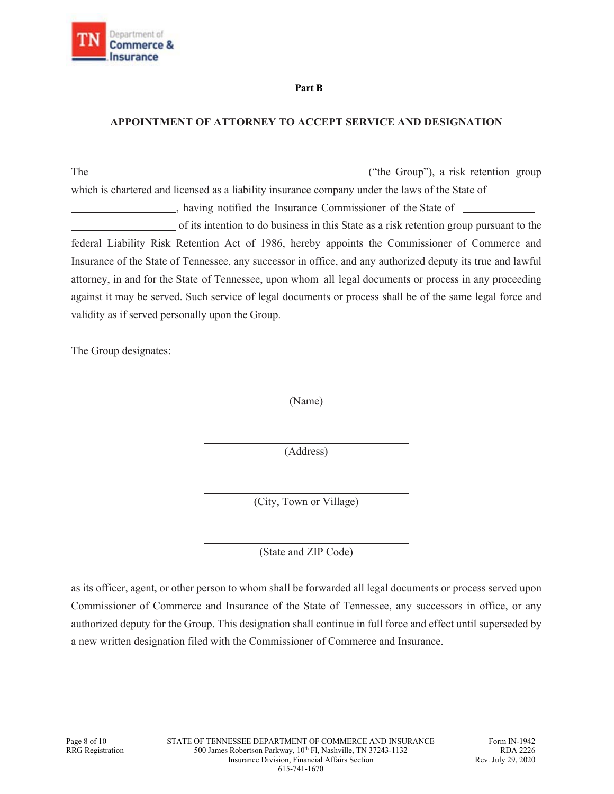

### **Part B**

## **APPOINTMENT OF ATTORNEY TO ACCEPT SERVICE AND DESIGNATION**

The the Group"), a risk retention group which is chartered and licensed as a liability insurance company under the laws of the State of , having notified the Insurance Commissioner of the State of of its intention to do business in this State as a risk retention group pursuant to the federal Liability Risk Retention Act of 1986, hereby appoints the Commissioner of Commerce and Insurance of the State of Tennessee, any successor in office, and any authorized deputy its true and lawful attorney, in and for the State of Tennessee, upon whom all legal documents or process in any proceeding against it may be served. Such service of legal documents or process shall be of the same legal force and validity as if served personally upon the Group.

The Group designates:

(Name)

(Address)

(City, Town or Village)

(State and ZIP Code)

as its officer, agent, or other person to whom shall be forwarded all legal documents or process served upon Commissioner of Commerce and Insurance of the State of Tennessee, any successors in office, or any authorized deputy for the Group. This designation shall continue in full force and effect until superseded by a new written designation filed with the Commissioner of Commerce and Insurance.